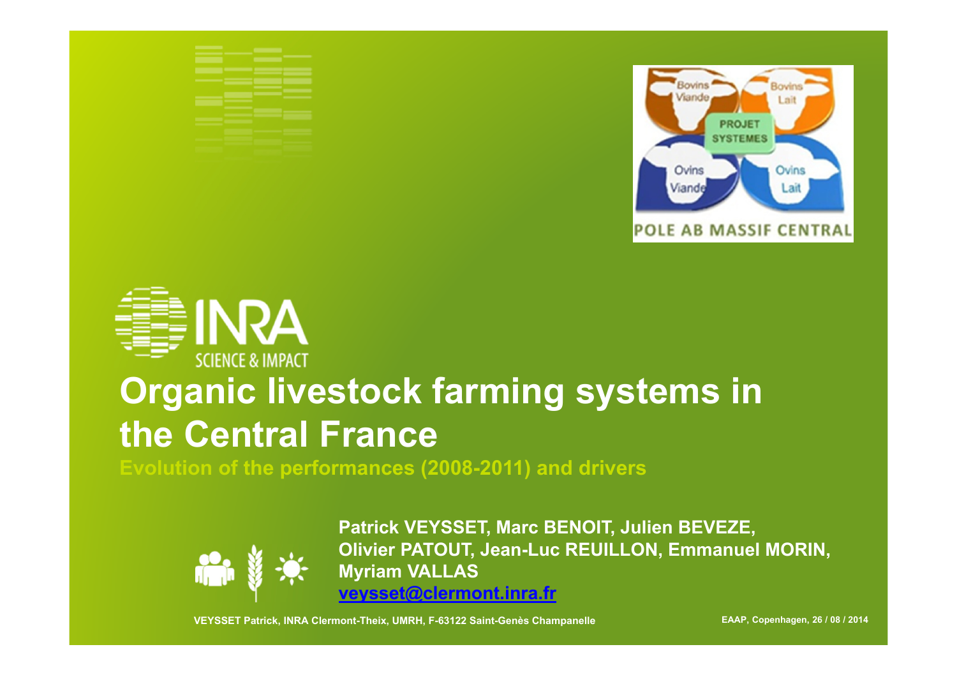



# **Organic livestock farming systems in the Central France**

**Evolution of the performances (2008-2011) and drivers**



**Patrick VEYSSET, Marc BENOIT, Julien BEVEZE, Olivier PATOUT, Jean-Luc REUILLON, Emmanuel MORIN, Myriam VALLAS veysset@clermont.inra.fr**

**VEYSSET Patrick, INRA Clermont-Theix, UMRH, F-63122 Saint-Genès Champanelle EAAP, Copenhagen, 26 / 08 / 2014**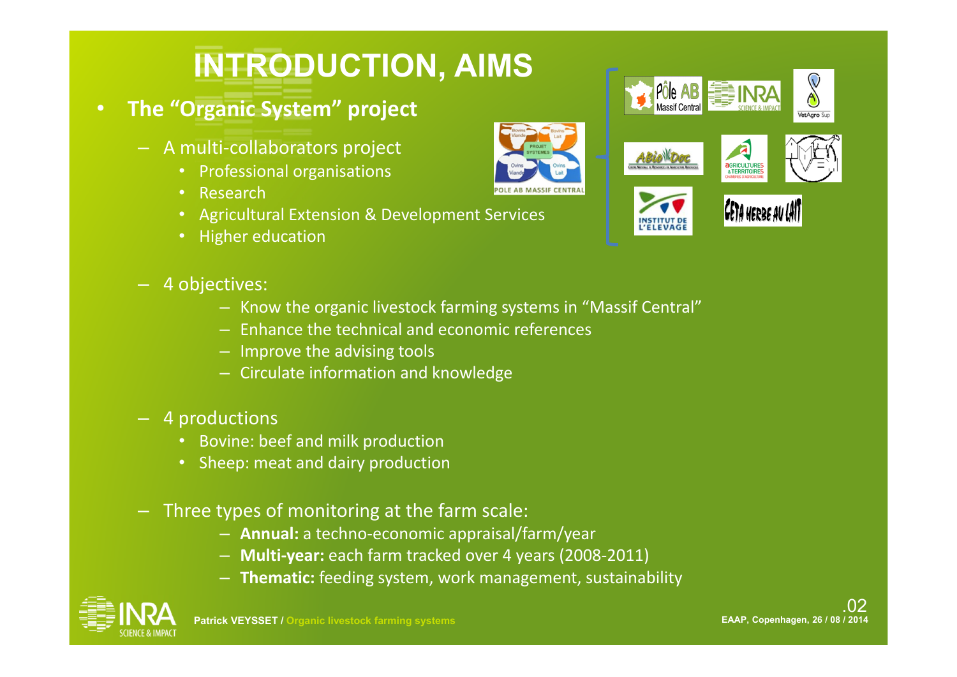# **INTRODUCTION, AIMS**

- **The "Organic System" project**
	- A multi‐collaborators project
		- Professional organisations
		- Research
		- Agricultural Extension & Development Services
		- Higher education
	- 4 objectives:
		- Know the organic livestock farming systems in "Massif Central"
		- Enhance the technical and economic references
		- Improve the advising tools
		- Circulate information and knowledge
	- 4 productions
		- Bovine: beef and milk production
		- Sheep: meat and dairy production
	- Three types of monitoring at the farm scale:
		- **Annual:** a techno‐economic appraisal/farm/year
		- **Multi‐year:** each farm tracked over 4 years (2008‐2011)
		- **Thematic:** feeding system, work management, sustainability





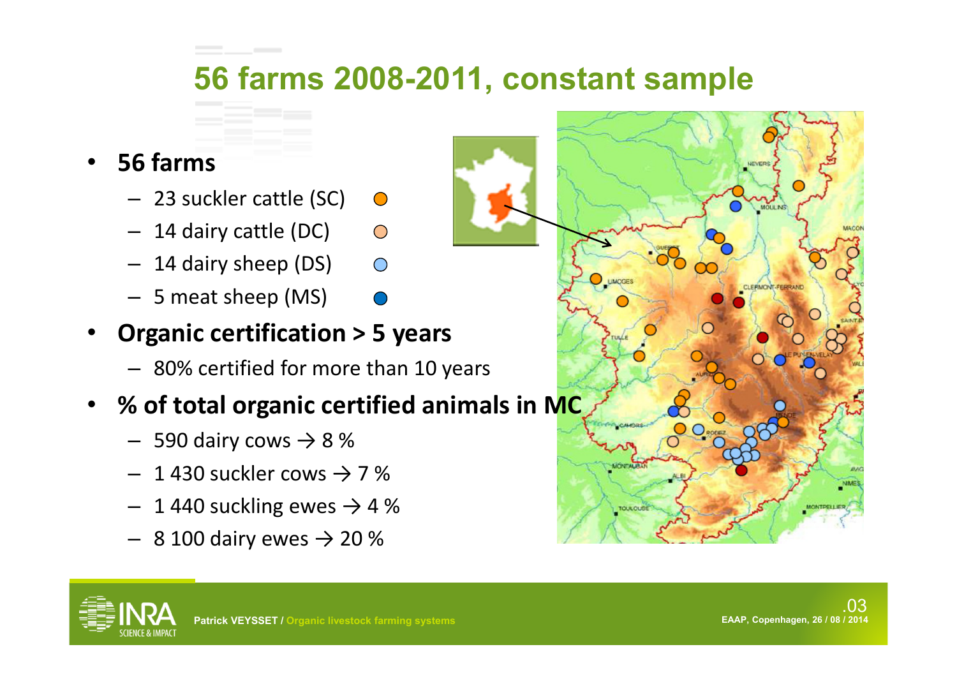## **56 farms 2008-2011, constant sample**

#### $\bullet$ **56 farms**

- 23 suckler cattle (SC)
- 14 dairy cattle (DC)  $\bigcap$
- 14 dairy sheep (DS)  $\bigcap$
- 5 meat sheep (MS)
- • **Organic certification > 5 years**
	- 80% certified for more than 10 years

### • **% of total organic certified animals in MC**

- $-$  590 dairy cows  $\rightarrow$  8 %
- $-$  1 430 suckler cows  $\rightarrow$  7 %
- $-$  1 440 suckling ewes  $\rightarrow$  4 %
- $-$  8 100 dairy ewes  $\rightarrow$  20 %





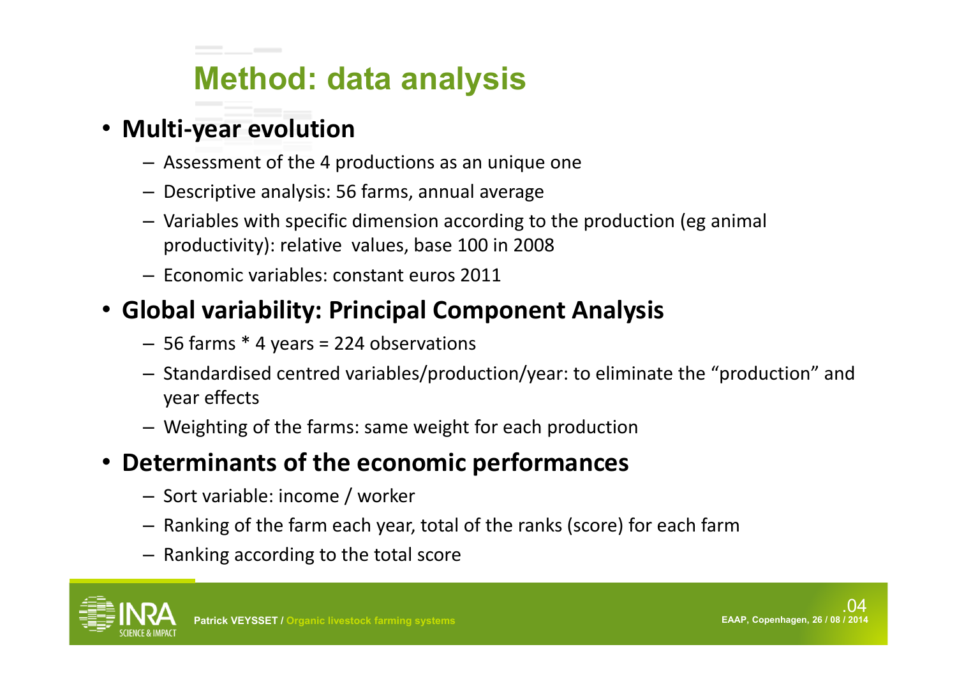# **Method: data analysis**

### • **Multi ‐year evolution**

- Assessment of the 4 productions as an unique one
- Descriptive analysis: 56 farms, annual average
- Variables with specific dimension according to the production (eg animal productivity): relative values, base 100 in 2008
- Economic variables: constant euros 2011

## • **Global variability: Principal Component Analysis**

- 56 farms \* 4 years = 224 observations
- Standardised centred variables/production/year: to eliminate the "production" and year effects
- Weighting of the farms: same weight for each production

#### •**Determinants of the economic performances**

- Sort variable: income / worker
- Ranking of the farm each year, total of the ranks (score) for each farm
- Ranking according to the total score

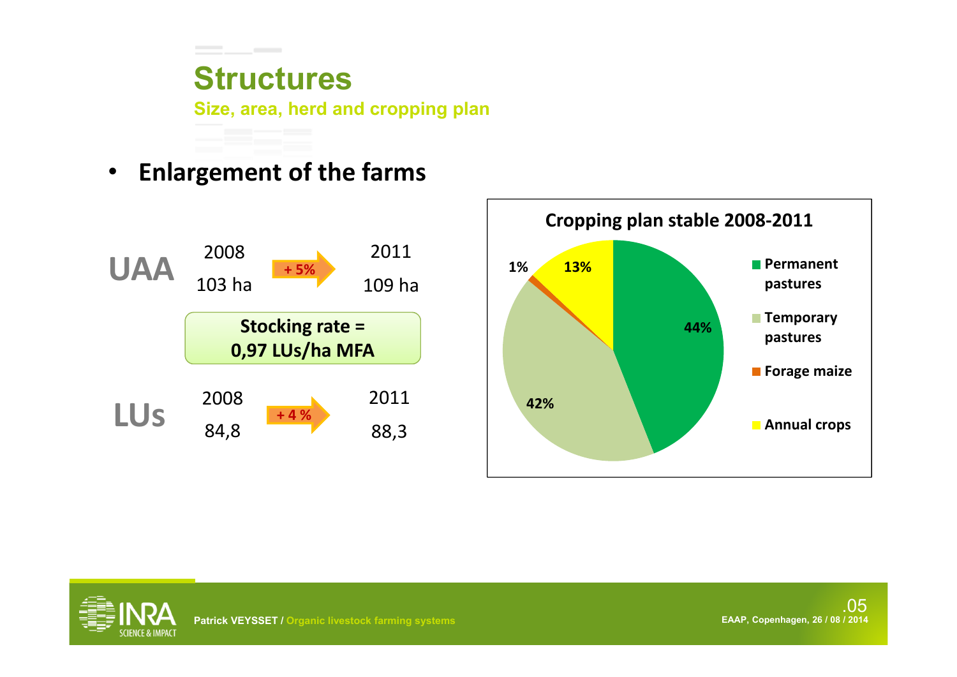## **Structures**

**Size, area, herd and cropping plan**

 $\bullet$ **Enlargement of the farms**





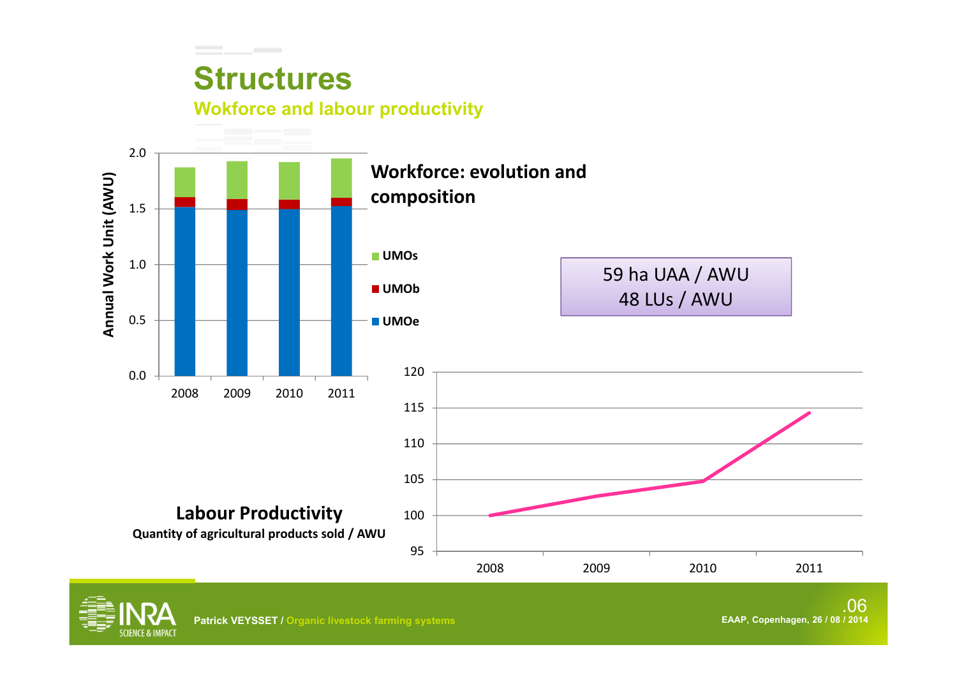## **Structures**

### **Wokforce and labour productivity**



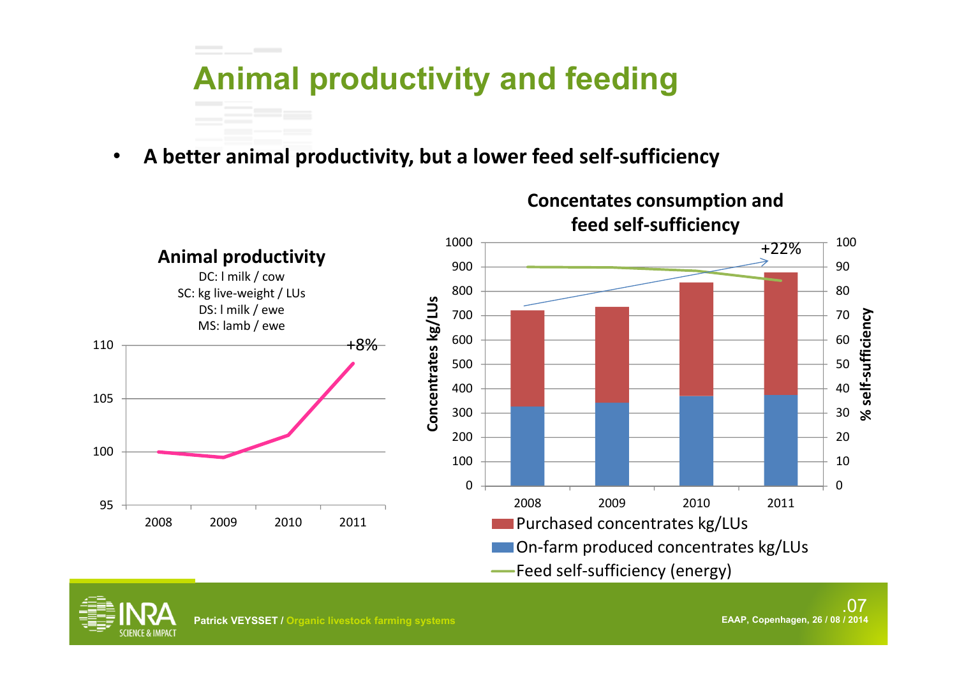

•**A better animal productivity, but a lower feed self ‐sufficiency**



Feed self‐sufficiency (energy)

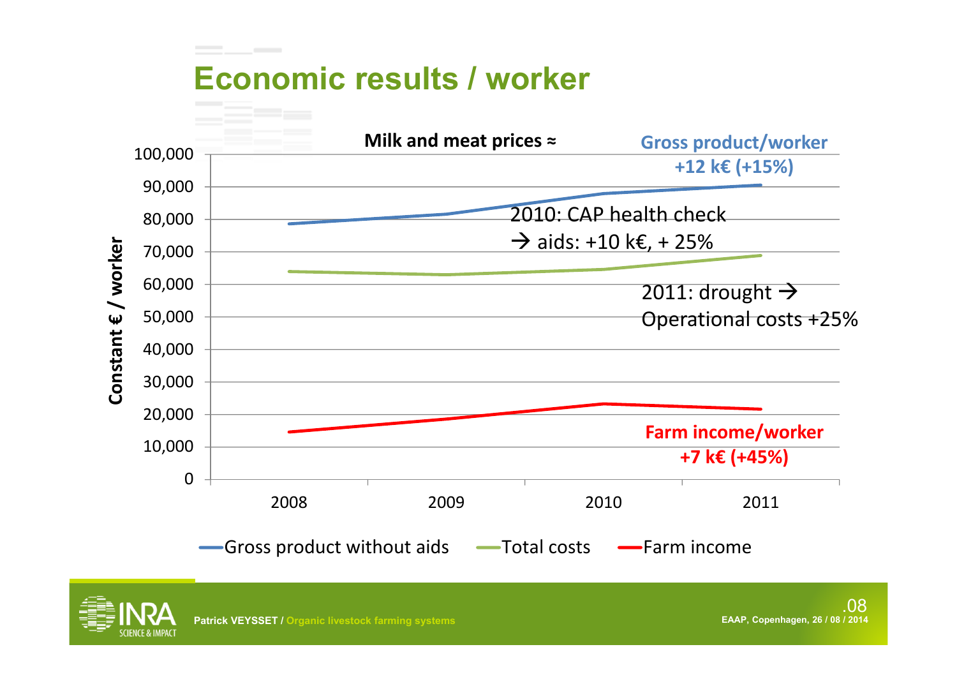

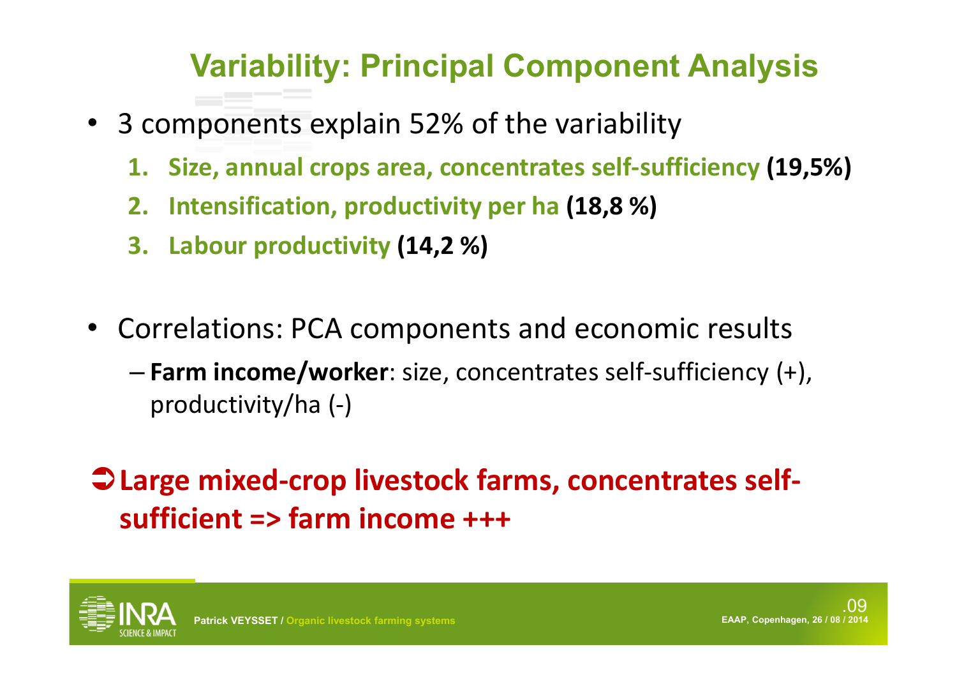## **Variability: Principal Component Analysis**

- 3 components explain 52% of the variability
	- **1. Size, annual crops area, concentrates self ‐sufficiency (19,5%)**
	- **2. Intensification, productivity per ha (18,8 %)**
	- **3. Labour productivity (14,2 %)**
- Correlations: PCA components and economic results
	- **Farm income/worker**: size, concentrates self ‐sufficiency (+), productivity/ha (‐)
- **Large mixed ‐crop livestock farms, concentrates self ‐ sufficient => farm income +++**

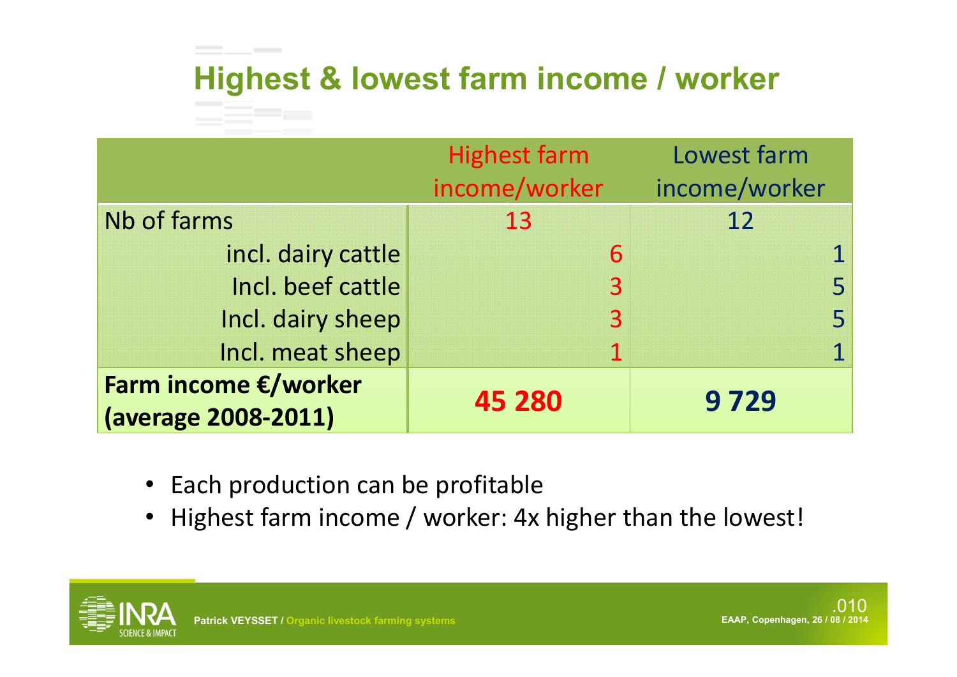# **Highest & lowest farm income / worker**

|                                             | <b>Highest farm</b><br>income/worker | Lowest farm<br>income/worker |
|---------------------------------------------|--------------------------------------|------------------------------|
| Nb of farms                                 | 13                                   | 12                           |
| incl. dairy cattle                          | 6                                    |                              |
| Incl. beef cattle                           | $\overline{3}$                       |                              |
| Incl. dairy sheep                           | 3                                    |                              |
| Incl. meat sheep                            |                                      |                              |
| Farm income €/worker<br>(average 2008-2011) | 45 280                               | 9729                         |

• Each production can be profitable

**Contract Contract** 

• Highest farm income / worker: 4x higher than the lowest!

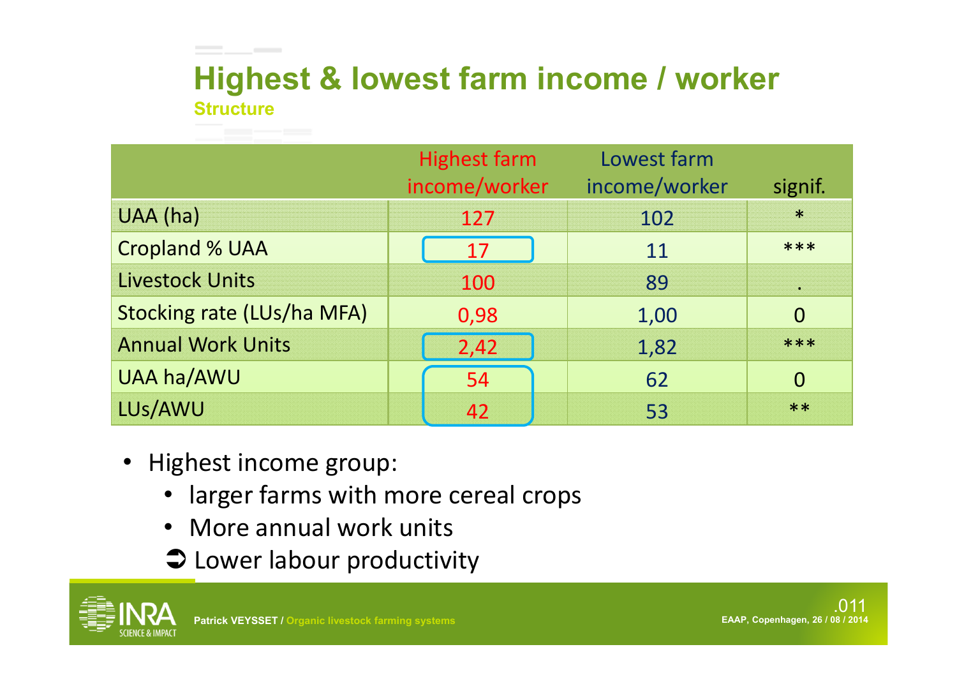## **StructureHighest & lowest farm income / worker**

|                                   | <b>Highest farm</b><br>income/worker | Lowest farm<br>income/worker | signif.  |
|-----------------------------------|--------------------------------------|------------------------------|----------|
| UAA (ha)                          | 127                                  | 102                          | $\ast$   |
| <b>Cropland % UAA</b>             | 17                                   | 11                           | ***      |
| <b>Livestock Units</b>            | 100                                  | 89                           | ä.       |
| <b>Stocking rate (LUs/ha MFA)</b> | 0,98                                 | 1,00                         | $\Omega$ |
| <b>Annual Work Units</b>          | 2,42                                 | 1,82                         | ***      |
| <b>UAA ha/AWU</b>                 | 54                                   | 62                           | $\Omega$ |
| LUs/AWU                           | 42                                   | 53                           | $**$     |

• Highest income group:

**Contract Contract** 

- larger farms with more cereal crops
- More annual work units
- **C** Lower labour productivity

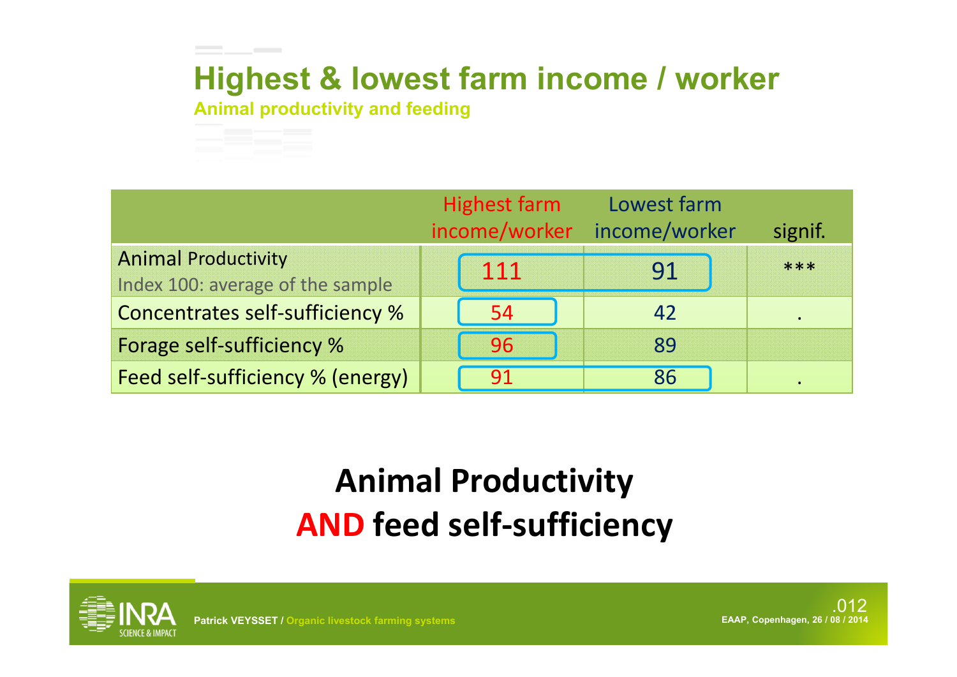## **Highest & lowest farm income / worker**

**Animal productivity and feeding**

the contract of the contract of



## **Animal Productivity AND feed self‐sufficiency**



**Patrick VEYSSET / Organic livestock farming systems EAAP, Copenhagen, 26 / 08 / 2014**

.012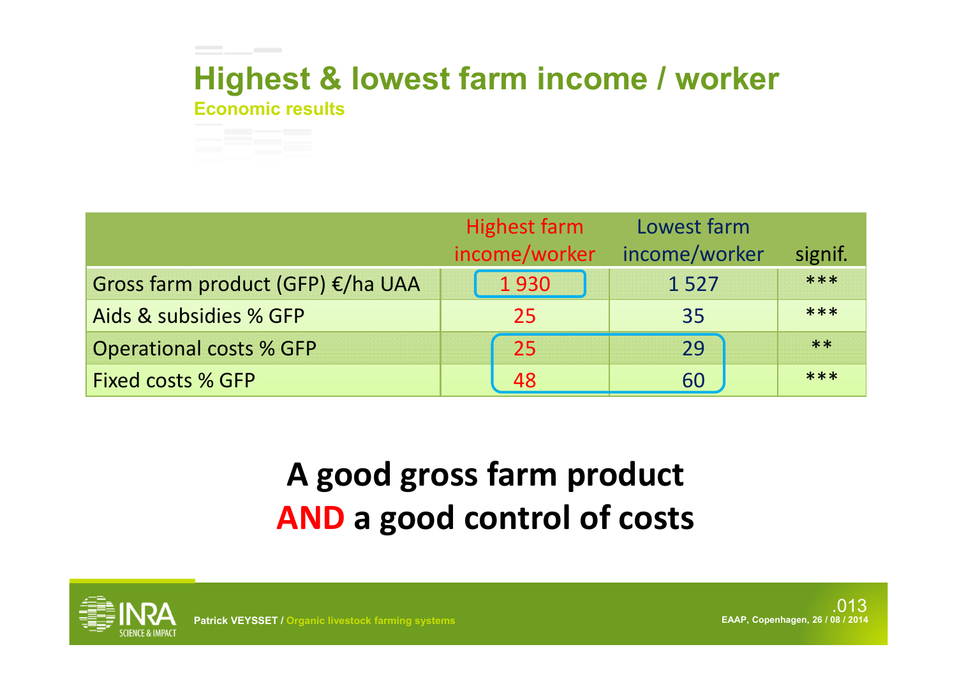### **Economic resultsHighest & lowest farm income / worker**



# **A good gross farm product AND <sup>a</sup> good control of costs**



\_\_\_

.013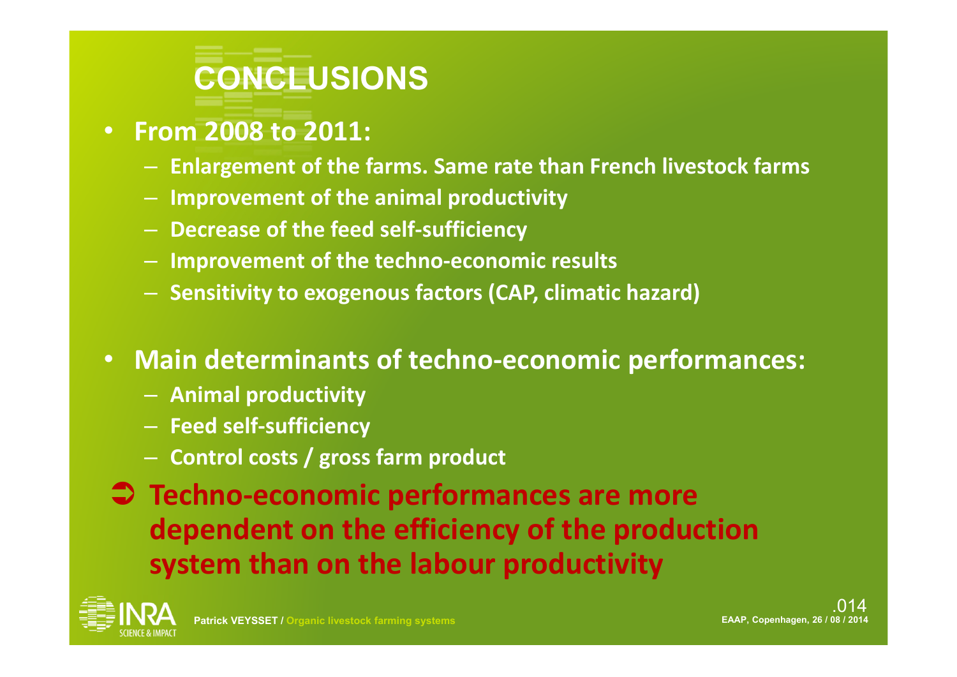

- **From 2008 to 2011:**
	- **Enlargement of the farms. Same rate than French livestock farms**
	- **Improvement of the animal productivity**
	- **Decrease of the feed self‐sufficiency**
	- **Improvement of the techno‐economic results**
	- **Sensitivity to exogenous factors (CAP, climatic hazard)**
- • **Main determinants of techno‐economic performances:**
	- **Animal productivity**
	- **Feed self‐sufficiency**
	- **Control costs / gross farm product**
- **Techno‐economic performances are more dependent on the efficiency of the production system than on the labour productivity**